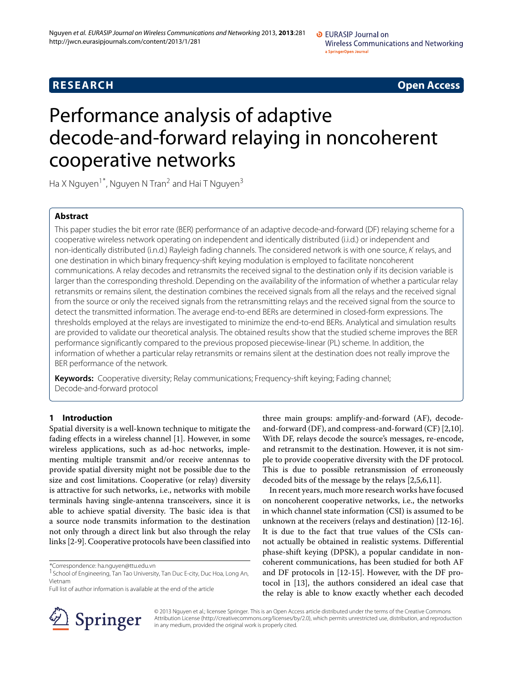**RESEARCH Open Access**

# Performance analysis of adaptive decode-and-forward relaying in noncoherent cooperative networks

Ha X Nguyen<sup>1\*</sup>, Nguyen N Tran<sup>2</sup> and Hai T Nguyen<sup>3</sup>

# **Abstract**

This paper studies the bit error rate (BER) performance of an adaptive decode-and-forward (DF) relaying scheme for a cooperative wireless network operating on independent and identically distributed (i.i.d.) or independent and non-identically distributed (i.n.d.) Rayleigh fading channels. The considered network is with one source, K relays, and one destination in which binary frequency-shift keying modulation is employed to facilitate noncoherent communications. A relay decodes and retransmits the received signal to the destination only if its decision variable is larger than the corresponding threshold. Depending on the availability of the information of whether a particular relay retransmits or remains silent, the destination combines the received signals from all the relays and the received signal from the source or only the received signals from the retransmitting relays and the received signal from the source to detect the transmitted information. The average end-to-end BERs are determined in closed-form expressions. The thresholds employed at the relays are investigated to minimize the end-to-end BERs. Analytical and simulation results are provided to validate our theoretical analysis. The obtained results show that the studied scheme improves the BER performance significantly compared to the previous proposed piecewise-linear (PL) scheme. In addition, the information of whether a particular relay retransmits or remains silent at the destination does not really improve the BER performance of the network.

**Keywords:** Cooperative diversity; Relay communications; Frequency-shift keying; Fading channel; Decode-and-forward protocol

# **1 Introduction**

Spatial diversity is a well-known technique to mitigate the fading effects in a wireless channel [\[1\]](#page-12-0). However, in some wireless applications, such as ad-hoc networks, implementing multiple transmit and/or receive antennas to provide spatial diversity might not be possible due to the size and cost limitations. Cooperative (or relay) diversity is attractive for such networks, i.e., networks with mobile terminals having single-antenna transceivers, since it is able to achieve spatial diversity. The basic idea is that a source node transmits information to the destination not only through a direct link but also through the relay links [\[2-](#page-12-1)[9\]](#page-12-2). Cooperative protocols have been classified into

\*Correspondence: ha.nguyen@ttu.edu.vn

Full list of author information is available at the end of the article

three main groups: amplify-and-forward (AF), decodeand-forward (DF), and compress-and-forward (CF) [\[2,](#page-12-1)[10\]](#page-12-3). With DF, relays decode the source's messages, re-encode, and retransmit to the destination. However, it is not simple to provide cooperative diversity with the DF protocol. This is due to possible retransmission of erroneously decoded bits of the message by the relays [\[2](#page-12-1)[,5](#page-12-4)[,6](#page-12-5)[,11\]](#page-12-6).

In recent years, much more research works have focused on noncoherent cooperative networks, i.e., the networks in which channel state information (CSI) is assumed to be unknown at the receivers (relays and destination) [\[12](#page-12-7)[-16\]](#page-12-8). It is due to the fact that true values of the CSIs cannot actually be obtained in realistic systems. Differential phase-shift keying (DPSK), a popular candidate in noncoherent communications, has been studied for both AF and DF protocols in [\[12-](#page-12-7)[15\]](#page-12-9). However, with the DF protocol in [\[13\]](#page-12-10), the authors considered an ideal case that the relay is able to know exactly whether each decoded



© 2013 Nguyen et al.; licensee Springer. This is an Open Access article distributed under the terms of the Creative Commons Attribution License (http://creativecommons.org/licenses/by/2.0), which permits unrestricted use, distribution, and reproduction in any medium, provided the original work is properly cited.

<sup>&</sup>lt;sup>1</sup> School of Engineering, Tan Tao University, Tan Duc E-city, Duc Hoa, Long An, Vietnam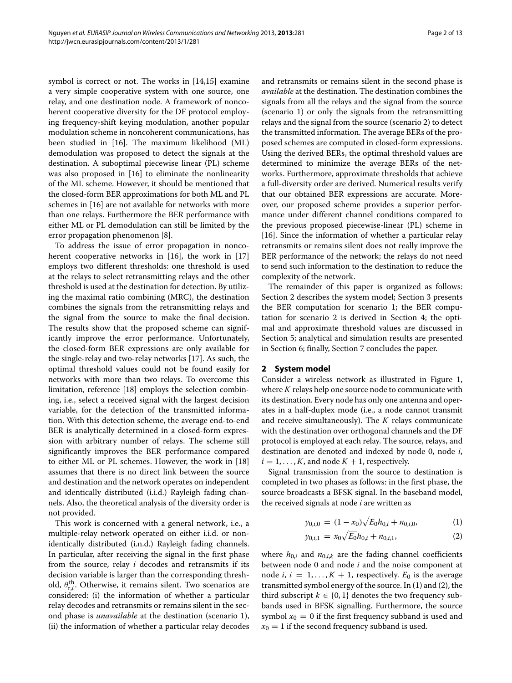symbol is correct or not. The works in [\[14](#page-12-11)[,15\]](#page-12-9) examine a very simple cooperative system with one source, one relay, and one destination node. A framework of noncoherent cooperative diversity for the DF protocol employing frequency-shift keying modulation, another popular modulation scheme in noncoherent communications, has been studied in [\[16\]](#page-12-8). The maximum likelihood (ML) demodulation was proposed to detect the signals at the destination. A suboptimal piecewise linear (PL) scheme was also proposed in [\[16\]](#page-12-8) to eliminate the nonlinearity of the ML scheme. However, it should be mentioned that the closed-form BER approximations for both ML and PL schemes in [\[16\]](#page-12-8) are not available for networks with more than one relays. Furthermore the BER performance with either ML or PL demodulation can still be limited by the error propagation phenomenon [\[8\]](#page-12-12).

To address the issue of error propagation in nonco-herent cooperative networks in [\[16\]](#page-12-8), the work in [\[17\]](#page-12-13) employs two different thresholds: one threshold is used at the relays to select retransmitting relays and the other threshold is used at the destination for detection. By utilizing the maximal ratio combining (MRC), the destination combines the signals from the retransmitting relays and the signal from the source to make the final decision. The results show that the proposed scheme can significantly improve the error performance. Unfortunately, the closed-form BER expressions are only available for the single-relay and two-relay networks [\[17\]](#page-12-13). As such, the optimal threshold values could not be found easily for networks with more than two relays. To overcome this limitation, reference [\[18\]](#page-12-14) employs the selection combining, i.e., select a received signal with the largest decision variable, for the detection of the transmitted information. With this detection scheme, the average end-to-end BER is analytically determined in a closed-form expression with arbitrary number of relays. The scheme still significantly improves the BER performance compared to either ML or PL schemes. However, the work in [\[18\]](#page-12-14) assumes that there is no direct link between the source and destination and the network operates on independent and identically distributed (i.i.d.) Rayleigh fading channels. Also, the theoretical analysis of the diversity order is not provided.

This work is concerned with a general network, i.e., a multiple-relay network operated on either i.i.d. or nonidentically distributed (i.n.d.) Rayleigh fading channels. In particular, after receiving the signal in the first phase from the source, relay *i* decodes and retransmits if its decision variable is larger than the corresponding threshold,  $θ_{r,i}^{th}$ . Otherwise, it remains silent. Two scenarios are considered: (i) the information of whether a particular relay decodes and retransmits or remains silent in the second phase is *unavailable* at the destination (scenario 1), (ii) the information of whether a particular relay decodes and retransmits or remains silent in the second phase is *available* at the destination. The destination combines the signals from all the relays and the signal from the source (scenario 1) or only the signals from the retransmitting relays and the signal from the source (scenario 2) to detect the transmitted information. The average BERs of the proposed schemes are computed in closed-form expressions. Using the derived BERs, the optimal threshold values are determined to minimize the average BERs of the networks. Furthermore, approximate thresholds that achieve a full-diversity order are derived. Numerical results verify that our obtained BER expressions are accurate. Moreover, our proposed scheme provides a superior performance under different channel conditions compared to the previous proposed piecewise-linear (PL) scheme in [\[16\]](#page-12-8). Since the information of whether a particular relay retransmits or remains silent does not really improve the BER performance of the network; the relays do not need to send such information to the destination to reduce the complexity of the network.

The remainder of this paper is organized as follows: Section [2](#page-1-0) describes the system model; Section [3](#page-3-0) presents the BER computation for scenario 1; the BER computation for scenario 2 is derived in Section [4;](#page-6-0) the optimal and approximate threshold values are discussed in Section [5;](#page-6-1) analytical and simulation results are presented in Section [6;](#page-6-2) finally, Section [7](#page-7-0) concludes the paper.

#### <span id="page-1-0"></span>**2 System model**

Consider a wireless network as illustrated in Figure [1,](#page-2-0) where *K* relays help one source node to communicate with its destination. Every node has only one antenna and operates in a half-duplex mode (i.e., a node cannot transmit and receive simultaneously). The *K* relays communicate with the destination over orthogonal channels and the DF protocol is employed at each relay. The source, relays, and destination are denoted and indexed by node 0, node *i*,  $i = 1, \ldots, K$ , and node  $K + 1$ , respectively.

Signal transmission from the source to destination is completed in two phases as follows: in the first phase, the source broadcasts a BFSK signal. In the baseband model, the received signals at node *i* are written as

<span id="page-1-1"></span>
$$
y_{0,i,0} = (1 - x_0) \sqrt{E_0} h_{0,i} + n_{0,i,0}, \tag{1}
$$

$$
y_{0,i,1} = x_0 \sqrt{E_0} h_{0,i} + n_{0,i,1}, \qquad (2)
$$

where  $h_{0,i}$  and  $n_{0,i,k}$  are the fading channel coefficients between node 0 and node *i* and the noise component at node *i*,  $i = 1, ..., K + 1$ , respectively.  $E_0$  is the average transmitted symbol energy of the source. In [\(1\)](#page-1-1) and [\(2\)](#page-1-1), the third subscript  $k \in \{0, 1\}$  denotes the two frequency subbands used in BFSK signalling. Furthermore, the source symbol  $x_0 = 0$  if the first frequency subband is used and  $x_0 = 1$  if the second frequency subband is used.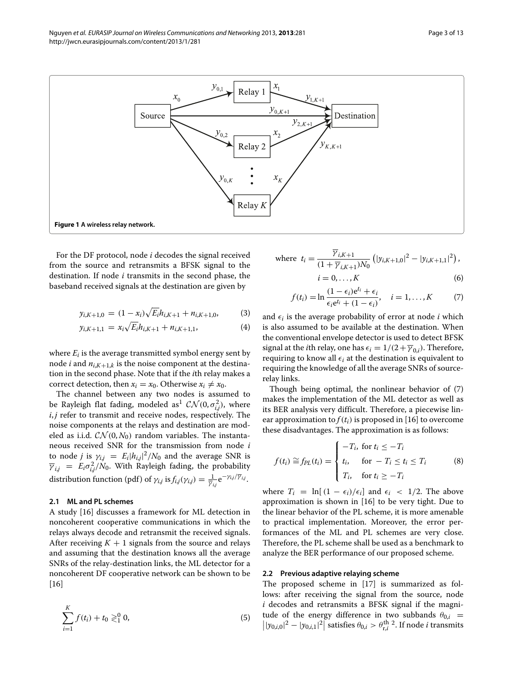

<span id="page-2-0"></span>For the DF protocol, node *i* decodes the signal received from the source and retransmits a BFSK signal to the destination. If node *i* transmits in the second phase, the baseband received signals at the destination are given by

<span id="page-2-2"></span>
$$
y_{i,K+1,0} = (1 - x_i)\sqrt{E_i}h_{i,K+1} + n_{i,K+1,0},
$$
 (3)

$$
y_{i,K+1,1} = x_i \sqrt{E_i} h_{i,K+1} + n_{i,K+1,1},
$$
\n(4)

where  $E_i$  is the average transmitted symbol energy sent by node *i* and  $n_{i,K+1,k}$  is the noise component at the destination in the second phase. Note that if the *i*th relay makes a correct detection, then  $x_i = x_0$ . Otherwise  $x_i \neq x_0$ .

The channel between any two nodes is assumed to be Rayleigh flat fading, modeled as  $^1$   $\mathcal{CN}(0,\sigma_{i,j}^2)$ , where *i*, *j* refer to transmit and receive nodes, respectively. The noise components at the relays and destination are modeled as i.i.d.  $CN(0, N_0)$  random variables. The instantaneous received SNR for the transmission from node *i* to node *j* is  $\gamma_{i,j} = E_i |h_{i,j}|^2 / N_0$  and the average SNR is  $\overline{\gamma}_{i,j}$  =  $E_i \sigma_{i,j}^2 / N_0$ . With Rayleigh fading, the probability distribution function (pdf) of  $\gamma_{i,j}$  is  $f_{i,j}(\gamma_{i,j}) = \frac{1}{\overline{\gamma}_{i,j}} e^{-\gamma_{i,j}/\overline{\gamma}_{i,j}}$ .

# **2.1 ML and PL schemes**

A study [\[16\]](#page-12-8) discusses a framework for ML detection in noncoherent cooperative communications in which the relays always decode and retransmit the received signals. After receiving  $K + 1$  signals from the source and relays and assuming that the destination knows all the average SNRs of the relay-destination links, the ML detector for a noncoherent DF cooperative network can be shown to be [\[16\]](#page-12-8)

$$
\sum_{i=1}^{K} f(t_i) + t_0 \geq 0, \tag{5}
$$

where 
$$
t_i = \frac{\overline{Y}_{i,K+1}}{(1 + \overline{Y}_{i,K+1})N_0} \left( |y_{i,K+1,0}|^2 - |y_{i,K+1,1}|^2 \right),
$$
  
\n $i = 0,...,K$  (6)

<span id="page-2-1"></span>
$$
f(t_i) = \ln \frac{(1 - \epsilon_i)e^{t_i} + \epsilon_i}{\epsilon_i e^{t_i} + (1 - \epsilon_i)}, \quad i = 1, \dots, K
$$
 (7)

and  $\epsilon_i$  is the average probability of error at node *i* which is also assumed to be available at the destination. When the conventional envelope detector is used to detect BFSK signal at the *i*th relay, one has  $\epsilon_i = 1/(2 + \overline{\gamma}_{0,i})$ . Therefore, requiring to know all  $\epsilon_i$  at the destination is equivalent to requiring the knowledge of all the average SNRs of sourcerelay links.

Though being optimal, the nonlinear behavior of [\(7\)](#page-2-1) makes the implementation of the ML detector as well as its BER analysis very difficult. Therefore, a piecewise linear approximation to  $f(t_i)$  is proposed in [\[16\]](#page-12-8) to overcome these disadvantages. The approximation is as follows:

$$
f(t_i) \cong f_{PL}(t_i) = \begin{cases} -T_i, \text{ for } t_i \leq -T_i \\ t_i, \quad \text{ for } -T_i \leq t_i \leq T_i \\ T_i, \quad \text{ for } t_i \geq -T_i \end{cases}
$$
 (8)

where  $T_i = \ln[(1 - \epsilon_i)/\epsilon_i]$  and  $\epsilon_i < 1/2$ . The above approximation is shown in [\[16\]](#page-12-8) to be very tight. Due to the linear behavior of the PL scheme, it is more amenable to practical implementation. Moreover, the error performances of the ML and PL schemes are very close. Therefore, the PL scheme shall be used as a benchmark to analyze the BER performance of our proposed scheme.

#### **2.2 Previous adaptive relaying scheme**

The proposed scheme in [\[17\]](#page-12-13) is summarized as follows: after receiving the signal from the source, node *i* decodes and retransmits a BFSK signal if the magni-  $\left| |y_{0,i,0}|^2 - |y_{0,i,1}|^2 \right|$  satisfies  $\theta_{0,i} > \theta_{r,i}^{th}$  ?. If node *i* transmits tude of the energy difference in two subbands  $\theta_{0,i}$  =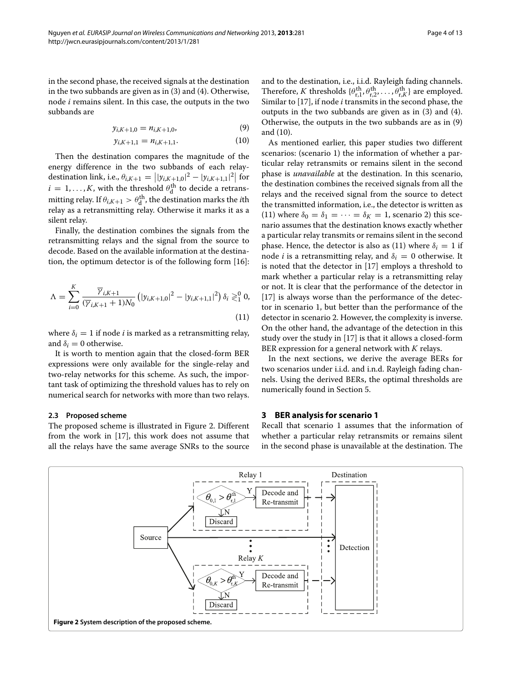in the second phase, the received signals at the destination in the two subbands are given as in [\(3\)](#page-2-2) and [\(4\)](#page-2-2). Otherwise, node *i* remains silent. In this case, the outputs in the two subbands are

<span id="page-3-2"></span>
$$
y_{i,K+1,0} = n_{i,K+1,0},\tag{9}
$$

$$
y_{i,K+1,1} = n_{i,K+1,1}.\tag{10}
$$

Then the destination compares the magnitude of the energy difference in the two subbands of each relaydestination link, i.e.,  $\theta_{i,K+1} = ||y_{i,K+1,0}|^2 - |y_{i,K+1,1}|^2 |$  for  $i = 1, \ldots, K$ , with the threshold  $\theta_d^{\text{th}}$  to decide a retransmitting relay. If  $\theta_{i,K+1} > \theta_{\mathbf{d}}^{\mathbf{th}}$ , the destination marks the *i*th relay as a retransmitting relay. Otherwise it marks it as a silent relay.

Finally, the destination combines the signals from the retransmitting relays and the signal from the source to decode. Based on the available information at the destination, the optimum detector is of the following form [\[16\]](#page-12-8):

<span id="page-3-3"></span>
$$
\Lambda = \sum_{i=0}^{K} \frac{\overline{\gamma}_{i,K+1}}{(\overline{\gamma}_{i,K+1} + 1)N_0} \left( |y_{i,K+1,0}|^2 - |y_{i,K+1,1}|^2 \right) \delta_i \gtrless_1^0 0,
$$
\n(11)

where  $\delta_i = 1$  if node *i* is marked as a retransmitting relay, and  $\delta_i = 0$  otherwise.

It is worth to mention again that the closed-form BER expressions were only available for the single-relay and two-relay networks for this scheme. As such, the important task of optimizing the threshold values has to rely on numerical search for networks with more than two relays.

#### **2.3 Proposed scheme**

The proposed scheme is illustrated in Figure [2.](#page-3-1) Different from the work in [\[17\]](#page-12-13), this work does not assume that all the relays have the same average SNRs to the source

and to the destination, i.e., i.i.d. Rayleigh fading channels. Therefore, *K* thresholds  $\{\theta_{r,1}^{th}, \theta_{r,2}^{th}, \ldots, \theta_{r,K}^{th}\}$  are employed. Similar to [\[17\]](#page-12-13), if node *i* transmits in the second phase, the outputs in the two subbands are given as in [\(3\)](#page-2-2) and [\(4\)](#page-2-2). Otherwise, the outputs in the two subbands are as in [\(9\)](#page-3-2) and [\(10\)](#page-3-2).

As mentioned earlier, this paper studies two different scenarios: (scenario 1) the information of whether a particular relay retransmits or remains silent in the second phase is *unavailable* at the destination. In this scenario, the destination combines the received signals from all the relays and the received signal from the source to detect the transmitted information, i.e., the detector is written as [\(11\)](#page-3-3) where  $\delta_0 = \delta_1 = \cdots = \delta_K = 1$ , scenario 2) this scenario assumes that the destination knows exactly whether a particular relay transmits or remains silent in the second phase. Hence, the detector is also as [\(11\)](#page-3-3) where  $\delta_i = 1$  if node *i* is a retransmitting relay, and  $\delta_i = 0$  otherwise. It is noted that the detector in [\[17\]](#page-12-13) employs a threshold to mark whether a particular relay is a retransmitting relay or not. It is clear that the performance of the detector in [\[17\]](#page-12-13) is always worse than the performance of the detector in scenario 1, but better than the performance of the detector in scenario 2. However, the complexity is inverse. On the other hand, the advantage of the detection in this study over the study in [\[17\]](#page-12-13) is that it allows a closed-form BER expression for a general network with *K* relays.

In the next sections, we derive the average BERs for two scenarios under i.i.d. and i.n.d. Rayleigh fading channels. Using the derived BERs, the optimal thresholds are numerically found in Section [5.](#page-6-1)

# <span id="page-3-0"></span>**3 BER analysis for scenario 1**

Recall that scenario 1 assumes that the information of whether a particular relay retransmits or remains silent in the second phase is unavailable at the destination. The

<span id="page-3-1"></span>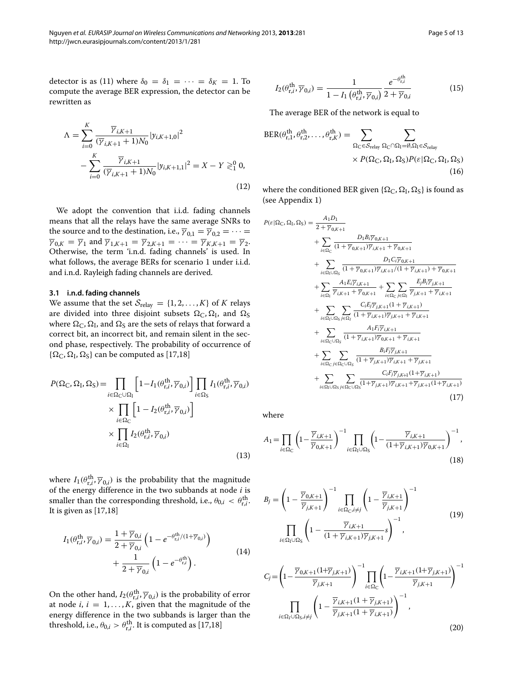<span id="page-4-4"></span>
$$
\Lambda = \sum_{i=0}^{K} \frac{\overline{\gamma}_{i,K+1}}{(\overline{\gamma}_{i,K+1} + 1)N_0} |y_{i,K+1,0}|^2
$$

$$
-\sum_{i=0}^{K} \frac{\overline{\gamma}_{i,K+1}}{(\overline{\gamma}_{i,K+1} + 1)N_0} |y_{i,K+1,1}|^2 = X - Y \geq 0, \tag{12}
$$

We adopt the convention that i.i.d. fading channels means that all the relays have the same average SNRs to the source and to the destination, i.e.,  $\overline{\gamma}_{0,1} = \overline{\gamma}_{0,2} = \cdots =$  $\overline{\gamma}_{0,K} = \overline{\gamma}_1$  and  $\overline{\gamma}_{1,K+1} = \overline{\gamma}_{2,K+1} = \cdots = \overline{\gamma}_{K,K+1} = \overline{\gamma}_2$ . Otherwise, the term 'i.n.d. fading channels' is used. In what follows, the average BERs for scenario 1 under i.i.d. and i.n.d. Rayleigh fading channels are derived.

#### **3.1 i.n.d. fading channels**

We assume that the set  $S_{\text{relav}} = \{1, 2, ..., K\}$  of *K* relays are divided into three disjoint subsets  $\Omega_C$ ,  $\Omega_I$ , and  $\Omega_S$ where  $\Omega_C$ ,  $\Omega_I$ , and  $\Omega_S$  are the sets of relays that forward a correct bit, an incorrect bit, and remain silent in the second phase, respectively. The probability of occurrence of  $\{\Omega_C, \Omega_I, \Omega_S\}$  can be computed as [\[17](#page-12-13)[,18\]](#page-12-14)

$$
P(\Omega_{\rm C}, \Omega_{\rm I}, \Omega_{\rm S}) = \prod_{i \in \Omega_{\rm C} \cup \Omega_{\rm I}} \left[ 1 - I_1(\theta_{\rm r,i}^{\rm th}, \overline{\gamma}_{0,i}) \right] \prod_{i \in \Omega_{\rm S}} I_1(\theta_{\rm r,i}^{\rm th}, \overline{\gamma}_{0,i})
$$

$$
\times \prod_{i \in \Omega_{\rm C}} \left[ 1 - I_2(\theta_{\rm r,i}^{\rm th}, \overline{\gamma}_{0,i}) \right]
$$

$$
\times \prod_{i \in \Omega_{\rm I}} I_2(\theta_{\rm r,i}^{\rm th}, \overline{\gamma}_{0,i})
$$
(13)

where  $I_1(\theta_{\text{r},i}^{\text{th}}, \overline{\gamma}_{0,i})$  is the probability that the magnitude of the energy difference in the two subbands at node *i* is smaller than the corresponding threshold, i.e.,  $\theta_{0,i} < \theta_{r,i}^{th}$ . It is given as [\[17,](#page-12-13)[18\]](#page-12-14)

$$
I_{1}(\theta_{\mathrm{r},i}^{\mathrm{th}}, \overline{\gamma}_{0,i}) = \frac{1 + \overline{\gamma}_{0,i}}{2 + \overline{\gamma}_{0,i}} \left( 1 - e^{-\theta_{\mathrm{r},i}^{\mathrm{th}}/(1 + \overline{\gamma}_{0,i})} \right) + \frac{1}{2 + \overline{\gamma}_{0,i}} \left( 1 - e^{-\theta_{\mathrm{r},i}^{\mathrm{th}}} \right).
$$
\n(14)

On the other hand,  $I_2(\theta_{\text{r},i}^{\text{th}}, \overline{\gamma}_{0,i})$  is the probability of error at node  $i, i = 1, \ldots, K$ , given that the magnitude of the energy difference in the two subbands is larger than the threshold, i.e.,  $\theta_{0,i} > \theta_{\text{r},i}^{\text{th}}$ . It is computed as [\[17](#page-12-13)[,18\]](#page-12-14)

<span id="page-4-0"></span>
$$
I_2(\theta_{\rm r,i}^{\rm th}, \overline{\gamma}_{0,i}) = \frac{1}{1 - I_1(\theta_{\rm r,i}^{\rm th}, \overline{\gamma}_{0,i})} \frac{e^{-\theta_{\rm r,i}^{\rm th}}}{2 + \overline{\gamma}_{0,i}}
$$
(15)

The average BER of the network is equal to

$$
BER(\theta_{r,1}^{th}, \theta_{r,2}^{th}, \dots, \theta_{r,K}^{th}) = \sum_{\Omega_C \in S_{\text{relay}}} \sum_{\Omega_C \cap \Omega_I = \emptyset, \Omega_I \in S_{\text{relay}}} \times P(\Omega_C, \Omega_I, \Omega_S) P(\varepsilon | \Omega_C, \Omega_I, \Omega_S)
$$
\n(16)

where the conditioned BER given  $\{\Omega_C, \Omega_I, \Omega_S\}$  is found as (see Appendix [1\)](#page-8-0)

<span id="page-4-1"></span>
$$
P(\varepsilon|\Omega_{C}, \Omega_{I}, \Omega_{S}) = \frac{A_{1}D_{1}}{2 + \overline{\gamma}_{0,K+1}} + \sum_{i \in \Omega_{C}} \frac{D_{1}B_{i}\overline{\gamma}_{0,K+1}}{(1 + \overline{\gamma}_{0,K+1})\overline{\gamma}_{i,K+1} + \overline{\gamma}_{0,K+1}} + \sum_{i \in \Omega_{I} \cup \Omega_{S}} \frac{D_{1}C_{i}\overline{\gamma}_{0,K+1}}{(1 + \overline{\gamma}_{0,K+1})\overline{\gamma}_{i,K+1}/(1 + \overline{\gamma}_{i,K+1}) + \overline{\gamma}_{0,K+1}} + \sum_{i \in \Omega_{I}} \frac{A_{1}E_{i}\overline{\gamma}_{i,K+1}}{\overline{\gamma}_{i,K+1} + \overline{\gamma}_{0,K+1}} + \sum_{i \in \Omega_{C}} \sum_{j \in \Omega_{I}} \frac{E_{j}B_{i}\overline{\gamma}_{j,K+1}}{\overline{\gamma}_{j,K+1} + \overline{\gamma}_{i,K+1}} + \sum_{i \in \Omega_{I} \cup \Omega_{S}} \sum_{j \in \Omega_{I}} \frac{C_{i}E_{j}\overline{\gamma}_{j,K+1}(1 + \overline{\gamma}_{i,K+1})}{(1 + \overline{\gamma}_{i,K+1})\overline{\gamma}_{j,K+1} + \overline{\gamma}_{i,K+1}} + \sum_{i \in \Omega_{C} \cup \Omega_{S}} \frac{A_{1}E_{i}\overline{\gamma}_{i,K+1}}{(1 + \overline{\gamma}_{i,K+1})\overline{\gamma}_{0,K+1} + \overline{\gamma}_{i,K+1}} + \sum_{i \in \Omega_{C} \cup \Omega_{S}} \frac{B_{i}E_{j}\overline{\gamma}_{j,K+1}}{(1 + \overline{\gamma}_{j,K+1})\overline{\gamma}_{i,K+1} + \overline{\gamma}_{j,K+1}} + \sum_{i \in \Omega_{I} \cup \Omega_{S}} \sum_{j \in \Omega_{C} \cup \Omega_{S}} \frac{C_{i}E_{j}\overline{\gamma}_{j,K+1}}{(1 + \overline{\gamma}_{j,K+1})\overline{\gamma}_{i,K+1} + \overline{\gamma}_{j,K+1}} \frac{C_{i}E_{j}\overline{\gamma}_{j,K+1}(1 + \overline{\gamma}_{i,K+1})}{(17)}
$$

<span id="page-4-3"></span><span id="page-4-2"></span>where

$$
A_1 = \prod_{i \in \Omega_C} \left( 1 - \frac{\overline{\gamma}_{i,K+1}}{\overline{\gamma}_{0,K+1}} \right)^{-1} \prod_{i \in \Omega_1 \cup \Omega_S} \left( 1 - \frac{\overline{\gamma}_{i,K+1}}{(1 + \overline{\gamma}_{i,K+1}) \overline{\gamma}_{0,K+1}} \right)^{-1},\tag{18}
$$

$$
B_j = \left(1 - \frac{\overline{\gamma}_{0,K+1}}{\overline{\gamma}_{j,K+1}}\right)^{-1} \prod_{i \in \Omega_C, i \neq j} \left(1 - \frac{\overline{\gamma}_{i,K+1}}{\overline{\gamma}_{j,K+1}}\right)^{-1}
$$
  

$$
\prod_{i \in \Omega_1 \cup \Omega_S} \left(1 - \frac{\overline{\gamma}_{i,K+1}}{(1 + \overline{\gamma}_{i,K+1})\overline{\gamma}_{j,K+1}}s\right)^{-1},
$$
(19)

$$
C_{j} = \left(1 - \frac{\overline{\gamma}_{0,K+1}(1+\overline{\gamma}_{j,K+1})}{\overline{\gamma}_{j,K+1}}\right)^{-1} \prod_{i \in \Omega_{C}} \left(1 - \frac{\overline{\gamma}_{i,K+1}(1+\overline{\gamma}_{j,K+1})}{\overline{\gamma}_{j,K+1}}\right)^{-1}
$$

$$
\prod_{i \in \Omega_{I} \cup \Omega_{S}, i \neq j} \left(1 - \frac{\overline{\gamma}_{i,K+1}(1+\overline{\gamma}_{j,K+1})}{\overline{\gamma}_{j,K+1}(1+\overline{\gamma}_{i,K+1})}\right)^{-1},\tag{20}
$$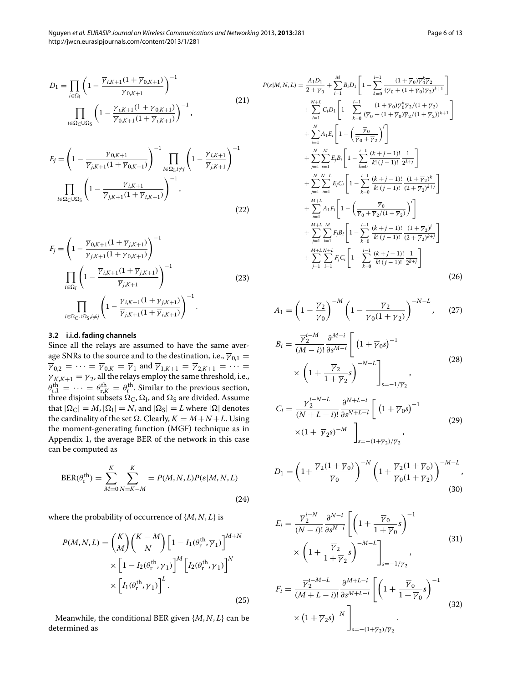$$
D_1 = \prod_{i \in \Omega_1} \left( 1 - \frac{\overline{\gamma}_{i,K+1} (1 + \overline{\gamma}_{0,K+1})}{\overline{\gamma}_{0,K+1}} \right)^{-1}
$$
  

$$
\prod_{i \in \Omega_1 \cup \Omega_2} \left( 1 - \frac{\overline{\gamma}_{i,K+1} (1 + \overline{\gamma}_{0,K+1})}{\overline{\gamma}_{0,K+1} (1 + \overline{\gamma}_{i,K+1})} \right)^{-1},
$$
 (21)

$$
E_j = \left(1 - \frac{\overline{\gamma}_{0,K+1}}{\overline{\gamma}_{j,K+1}(1 + \overline{\gamma}_{0,K+1})}\right)^{-1} \prod_{i \in \Omega_1, i \neq j} \left(1 - \frac{\overline{\gamma}_{i,K+1}}{\overline{\gamma}_{j,K+1}}\right)^{-1}
$$

$$
\prod_{i \in \Omega_C \cup \Omega_S} \left(1 - \frac{\overline{\gamma}_{i,K+1}}{\overline{\gamma}_{j,K+1}(1 + \overline{\gamma}_{i,K+1})}\right)^{-1},\tag{22}
$$

<span id="page-5-1"></span>
$$
F_{j} = \left(1 - \frac{\overline{Y}_{0,K+1}(1 + \overline{\gamma}_{j,K+1})}{\overline{Y}_{j,K+1}(1 + \overline{Y}_{0,K+1})}\right)^{-1}
$$

$$
\prod_{i \in \Omega_{I}} \left(1 - \frac{\overline{Y}_{i,K+1}(1 + \overline{Y}_{j,K+1})}{\overline{Y}_{j,K+1}}\right)^{-1}
$$
(23)
$$
\prod_{i \in \Omega_{C} \cup \Omega_{S}, i \neq j} \left(1 - \frac{\overline{Y}_{i,K+1}(1 + \overline{Y}_{j,K+1})}{\overline{Y}_{j,K+1}(1 + \overline{Y}_{i,K+1})}\right)^{-1}.
$$

#### <span id="page-5-2"></span>**3.2 i.i.d. fading channels**

Since all the relays are assumed to have the same average SNRs to the source and to the destination, i.e.,  $\overline{\gamma}_{0,1} =$  $\overline{\gamma}_{0,2} = \cdots = \overline{\gamma}_{0,K} = \overline{\gamma}_1$  and  $\overline{\gamma}_{1,K+1} = \overline{\gamma}_{2,K+1} = \cdots$  $\overline{\gamma}_{K,K+1} = \overline{\gamma}_2$ , all the relays employ the same threshold, i.e.,  $\theta_{\text{r},1}^{\text{th}} = \cdots = \theta_{\text{r},K}^{\text{th}} = \theta_{\text{r}}^{\text{th}}$ . Similar to the previous section, three disjoint subsets  $\Omega_{\rm C}$ ,  $\Omega_{\rm I}$ , and  $\Omega_{\rm S}$  are divided. Assume that  $|\Omega_{\text{C}}| = M$ ,  $|\Omega_{\text{I}}| = N$ , and  $|\Omega_{\text{S}}| = L$  where  $|\Omega|$  denotes the cardinality of the set  $\Omega$ . Clearly,  $K = M + N + L$ . Using the moment-generating function (MGF) technique as in Appendix [1,](#page-8-0) the average BER of the network in this case can be computed as

<span id="page-5-0"></span>
$$
BER(\theta_r^{\text{th}}) = \sum_{M=0}^{K} \sum_{N=K-M}^{K} = P(M, N, L)P(\varepsilon|M, N, L)
$$
\n(24)

where the probability of occurrence of {*M*, *N*, *L*} is

$$
P(M, N, L) = {K \choose M} {K - M \choose N} \left[ 1 - I_1(\theta_r^{\text{th}}, \overline{\gamma}_1) \right]^{M+N}
$$

$$
\times \left[ 1 - I_2(\theta_r^{\text{th}}, \overline{\gamma}_1) \right]^M \left[ I_2(\theta_r^{\text{th}}, \overline{\gamma}_1) \right]^N
$$

$$
\times \left[ I_1(\theta_r^{\text{th}}, \overline{\gamma}_1) \right]^L.
$$
 (25)

<span id="page-5-4"></span>Meanwhile, the conditional BER given {*M*, *N*, *L*} can be determined as

$$
P(\varepsilon|M,N,L) = \frac{A_1D_1}{2+\overline{\gamma}_0} + \sum_{i=1}^{M} B_i D_1 \left[ 1 - \sum_{k=0}^{i-1} \frac{(1+\overline{\gamma}_0)\overline{\gamma}_0^k \overline{\gamma}_2}{(\overline{\gamma}_0 + (1+\overline{\gamma}_0)\overline{\gamma}_2)^{k+1}} \right] + \sum_{i=1}^{N+L} C_i D_1 \left[ 1 - \sum_{k=0}^{i-1} \frac{(1+\overline{\gamma}_0)\overline{\gamma}_0^k \overline{\gamma}_2/(1+\overline{\gamma}_2)}{(\overline{\gamma}_0 + (1+\overline{\gamma}_0)\overline{\gamma}_2/(1+\overline{\gamma}_2))^{k+1}} \right] + \sum_{i=1}^{N} A_1 E_i \left[ 1 - \left( \frac{\overline{\gamma}_0}{\overline{\gamma}_0 + \overline{\gamma}_2} \right)^i \right] + \sum_{j=1}^{N} \sum_{i=1}^{M} E_j B_i \left[ 1 - \sum_{k=0}^{i-1} \frac{(k+j-1)!}{k!(j-1)!} \frac{1}{2^{k+j}} \right] + \sum_{j=1}^{N} \sum_{i=1}^{N+L} E_j C_i \left[ 1 - \sum_{k=0}^{i-1} \frac{(k+j-1)!}{k!(j-1)!} \frac{(1+\overline{\gamma}_2)^k}{(2+\overline{\gamma}_2)^{k+j}} \right] + \sum_{i=1}^{M+L} A_1 F_i \left[ 1 - \left( \frac{\overline{\gamma}_0}{\overline{\gamma}_0 + \overline{\gamma}_2/(1+\overline{\gamma}_2)} \right)^i \right] + \sum_{j=1}^{M+L} \sum_{i=1}^{M} F_j B_i \left[ 1 - \sum_{k=0}^{i-1} \frac{(k+j-1)!}{k!(j-1)!} \frac{(1+\overline{\gamma}_2)^j}{(2+\overline{\gamma}_2)^{k+j}} \right] + \sum_{j=1}^{M+L} \sum_{i=1}^{N+L} F_j C_i \left[ 1 - \sum_{k=0}^{i-1} \frac{(k+j-1)!}{k!(j-1)!} \frac{1}{2^{k+j}} \right]
$$
(26)

$$
A_1 = \left(1 - \frac{\overline{\gamma}_2}{\overline{\gamma}_0}\right)^{-M} \left(1 - \frac{\overline{\gamma}_2}{\overline{\gamma}_0(1 + \overline{\gamma}_2)}\right)^{-N - L},\qquad(27)
$$

$$
B_i = \frac{\overline{\gamma}_2^{i-M}}{(M-i)!} \frac{\partial^{M-i}}{\partial s^{M-i}} \left[ \left( 1 + \overline{\gamma}_0 s \right)^{-1} \times \left( 1 + \frac{\overline{\gamma}_2}{1 + \overline{\gamma}_2} s \right)^{-N-L} \right]_{s=-1/\overline{\gamma}_2},
$$
\n(28)

$$
C_i = \frac{\overline{\gamma}_2^{i-N-L}}{(N+L-i)!} \frac{\partial^{N+L-i}}{\partial s^{N+L-i}} \left[ \left( 1 + \overline{\gamma}_0 s \right)^{-1} \times \left( 1 + \overline{\gamma}_2 s \right)^{-M} \right]_{s = -(1+\overline{\gamma}_2)/\overline{\gamma}_2},
$$
\n(29)

$$
D_1 = \left(1 + \frac{\overline{\gamma}_2(1+\overline{\gamma}_0)}{\overline{\gamma}_0}\right)^{-N} \left(1 + \frac{\overline{\gamma}_2(1+\overline{\gamma}_0)}{\overline{\gamma}_0(1+\overline{\gamma}_2)}\right)^{-M-L},\tag{30}
$$

<span id="page-5-3"></span>
$$
E_i = \frac{\overline{\gamma}_2^{i-N}}{(N-i)!} \frac{\partial^{N-i}}{\partial s^{N-i}} \left[ \left( 1 + \frac{\overline{\gamma}_0}{1 + \overline{\gamma}_0} s \right)^{-1} \times \left( 1 + \frac{\overline{\gamma}_2}{1 + \overline{\gamma}_2} s \right)^{-M-L} \right]_{s=-1/\overline{\gamma}_2},
$$
\n(31)

$$
F_i = \frac{\overline{\gamma}_2^{i-M-L}}{(M+L-i)!} \frac{\partial^{M+L-i}}{\partial s^{M+L-i}} \left[ \left( 1 + \frac{\overline{\gamma}_0}{1+\overline{\gamma}_0} s \right)^{-1} \right] \times \left( 1 + \overline{\gamma}_2 s \right)^{-N} \Big]_{s = -(1+\overline{\gamma}_2)/\overline{\gamma}_2}.
$$
\n(32)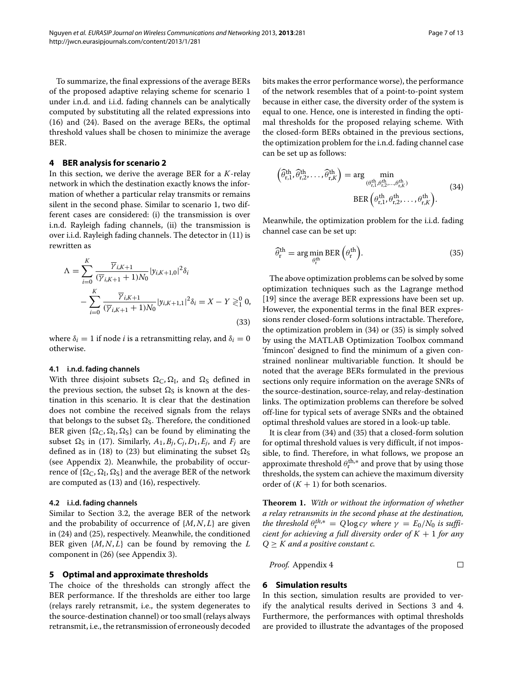To summarize, the final expressions of the average BERs of the proposed adaptive relaying scheme for scenario 1 under i.n.d. and i.i.d. fading channels can be analytically computed by substituting all the related expressions into [\(16\)](#page-4-0) and [\(24\)](#page-5-0). Based on the average BERs, the optimal threshold values shall be chosen to minimize the average BER.

## <span id="page-6-0"></span>**4 BER analysis for scenario 2**

In this section, we derive the average BER for a *K*-relay network in which the destination exactly knows the information of whether a particular relay transmits or remains silent in the second phase. Similar to scenario 1, two different cases are considered: (i) the transmission is over i.n.d. Rayleigh fading channels, (ii) the transmission is over i.i.d. Rayleigh fading channels. The detector in [\(11\)](#page-3-3) is rewritten as

$$
\Lambda = \sum_{i=0}^{K} \frac{\overline{\gamma}_{i,K+1}}{(\overline{\gamma}_{i,K+1} + 1)N_0} |y_{i,K+1,0}|^2 \delta_i
$$
  

$$
- \sum_{i=0}^{K} \frac{\overline{\gamma}_{i,K+1}}{(\overline{\gamma}_{i,K+1} + 1)N_0} |y_{i,K+1,1}|^2 \delta_i = X - Y \geq 0_0
$$
 (33)

where  $\delta_i = 1$  if node *i* is a retransmitting relay, and  $\delta_i = 0$ otherwise.

#### **4.1 i.n.d. fading channels**

With three disjoint subsets  $\Omega_C$ ,  $\Omega_I$ , and  $\Omega_S$  defined in the previous section, the subset  $\Omega$ <sub>S</sub> is known at the destination in this scenario. It is clear that the destination does not combine the received signals from the relays that belongs to the subset  $\Omega_{\mathsf{S}}$ . Therefore, the conditioned BER given  $\{\Omega_C, \Omega_I, \Omega_S\}$  can be found by eliminating the subset  $\Omega$ <sub>S</sub> in [\(17\)](#page-4-1). Similarly,  $A_1, B_i, C_i, D_1, E_i$ , and  $F_i$  are defined as in [\(18\)](#page-4-2) to [\(23\)](#page-5-1) but eliminating the subset  $\Omega$ <sub>S</sub> (see Appendix [2\)](#page-9-0). Meanwhile, the probability of occurrence of  $\{\Omega_C, \Omega_I, \Omega_S\}$  and the average BER of the network are computed as [\(13\)](#page-4-3) and [\(16\)](#page-4-0), respectively.

#### **4.2 i.i.d. fading channels**

Similar to Section [3.2,](#page-5-2) the average BER of the network and the probability of occurrence of  $\{M, N, L\}$  are given in [\(24\)](#page-5-0) and [\(25\)](#page-5-3), respectively. Meanwhile, the conditioned BER given  $\{M, N, L\}$  can be found by removing the *L* component in [\(26\)](#page-5-4) (see Appendix [3\)](#page-10-0).

#### <span id="page-6-1"></span>**5 Optimal and approximate thresholds**

The choice of the thresholds can strongly affect the BER performance. If the thresholds are either too large (relays rarely retransmit, i.e., the system degenerates to the source-destination channel) or too small (relays always retransmit, i.e., the retransmission of erroneously decoded bits makes the error performance worse), the performance of the network resembles that of a point-to-point system because in either case, the diversity order of the system is equal to one. Hence, one is interested in finding the optimal thresholds for the proposed relaying scheme. With the closed-form BERs obtained in the previous sections, the optimization problem for the i.n.d. fading channel case can be set up as follows:

<span id="page-6-3"></span>
$$
\left(\widehat{\theta}_{r,1}^{th}, \widehat{\theta}_{r,2}^{th}, \ldots, \widehat{\theta}_{r,K}^{th}\right) = \arg\min_{\substack{(\theta_{r,1}^{th}, \theta_{r,2}^{th}, \ldots, \theta_{r,K}^{th}) \\ \text{BER}\left(\theta_{r,1}^{th}, \theta_{r,2}^{th}, \ldots, \theta_{r,K}^{th}\right). \tag{34}}
$$

Meanwhile, the optimization problem for the i.i.d. fading channel case can be set up:

<span id="page-6-4"></span>
$$
\widehat{\theta}_{\mathrm{r}}^{\mathrm{th}} = \arg\min_{\theta_{\mathrm{r}}^{\mathrm{th}}} \mathrm{BER}\left(\theta_{\mathrm{r}}^{\mathrm{th}}\right). \tag{35}
$$

The above optimization problems can be solved by some optimization techniques such as the Lagrange method [\[19\]](#page-12-15) since the average BER expressions have been set up. However, the exponential terms in the final BER expressions render closed-form solutions intractable. Therefore, the optimization problem in [\(34\)](#page-6-3) or [\(35\)](#page-6-4) is simply solved by using the MATLAB Optimization Toolbox command 'fmincon' designed to find the minimum of a given constrained nonlinear multivariable function. It should be noted that the average BERs formulated in the previous sections only require information on the average SNRs of the source-destination, source-relay, and relay-destination links. The optimization problems can therefore be solved off-line for typical sets of average SNRs and the obtained optimal threshold values are stored in a look-up table.

It is clear from [\(34\)](#page-6-3) and [\(35\)](#page-6-4) that a closed-form solution for optimal threshold values is very difficult, if not impossible, to find. Therefore, in what follows, we propose an approximate threshold  $\theta_r^{th,*}$  and prove that by using those thresholds, the system can achieve the maximum diversity order of  $(K + 1)$  for both scenarios.

**Theorem 1.** *With or without the information of whether a relay retransmits in the second phase at the destination, the threshold*  $\theta_r^{th,*} = Q \log c \gamma$  *where*  $\gamma = E_0/N_0$  *is sufficient for achieving a full diversity order of K* + 1 *for any*  $Q \geq K$  and a positive constant c.

*Proof.* Appendix 4 
$$
\Box
$$

# <span id="page-6-2"></span>**6 Simulation results**

In this section, simulation results are provided to verify the analytical results derived in Sections [3](#page-3-0) and [4.](#page-6-0) Furthermore, the performances with optimal thresholds are provided to illustrate the advantages of the proposed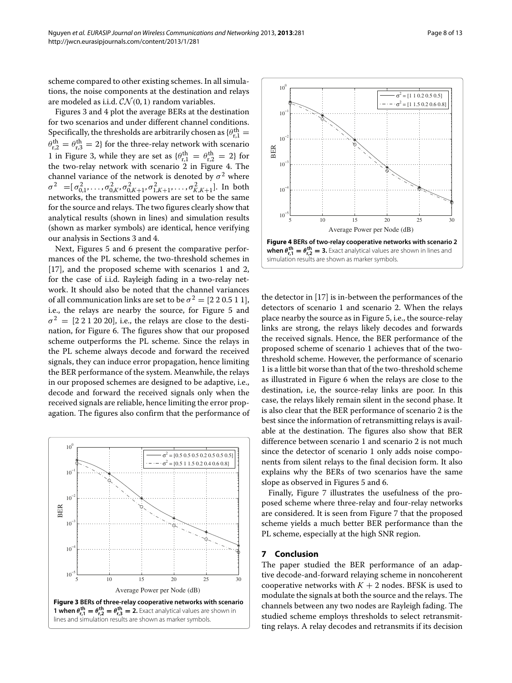scheme compared to other existing schemes. In all simulations, the noise components at the destination and relays are modeled as i.i.d. CN *(*0, 1*)* random variables.

Figures [3](#page-7-1) and [4](#page-7-2) plot the average BERs at the destination for two scenarios and under different channel conditions. Specifically, the thresholds are arbitrarily chosen as  $\{\theta_{\rm r,1}^{\rm th} =$  $\theta_{\text{r,2}}^{\text{th}} = \theta_{\text{r,3}}^{\text{th}} = 2$ } for the three-relay network with scenario 1 in Figure [3,](#page-7-1) while they are set as  $\{\theta_{r,1}^{th} = \theta_{r,2}^{th} = 2\}$  for the two-relay network with scenario 2 in Figure [4.](#page-7-2) The channel variance of the network is denoted by  $\sigma^2$  where  $\sigma^2 = [\sigma_{0,1}^2, \ldots, \sigma_{0,K}^2, \sigma_{0,K+1}^2, \sigma_{1,K+1}^2, \ldots, \sigma_{K,K+1}^2]$ . In both networks, the transmitted powers are set to be the same for the source and relays. The two figures clearly show that analytical results (shown in lines) and simulation results (shown as marker symbols) are identical, hence verifying our analysis in Sections [3](#page-3-0) and [4.](#page-6-0)

Next, Figures [5](#page-8-1) and [6](#page-8-2) present the comparative performances of the PL scheme, the two-threshold schemes in [\[17\]](#page-12-13), and the proposed scheme with scenarios 1 and 2, for the case of i.i.d. Rayleigh fading in a two-relay network. It should also be noted that the channel variances of all communication links are set to be  $\sigma^2 = [2 \ 2 \ 0.5 \ 1 \ 1]$ , i.e., the relays are nearby the source, for Figure [5](#page-8-1) and  $\sigma^2 = [2\ 2\ 1\ 20\ 20]$ , i.e., the relays are close to the destination, for Figure [6.](#page-8-2) The figures show that our proposed scheme outperforms the PL scheme. Since the relays in the PL scheme always decode and forward the received signals, they can induce error propagation, hence limiting the BER performance of the system. Meanwhile, the relays in our proposed schemes are designed to be adaptive, i.e., decode and forward the received signals only when the received signals are reliable, hence limiting the error propagation. The figures also confirm that the performance of

<span id="page-7-1"></span>



<span id="page-7-2"></span>the detector in [\[17\]](#page-12-13) is in-between the performances of the detectors of scenario 1 and scenario 2. When the relays place nearby the source as in Figure [5,](#page-8-1) i.e., the source-relay links are strong, the relays likely decodes and forwards the received signals. Hence, the BER performance of the proposed scheme of scenario 1 achieves that of the twothreshold scheme. However, the performance of scenario 1 is a little bit worse than that of the two-threshold scheme as illustrated in Figure [6](#page-8-2) when the relays are close to the destination, i.e, the source-relay links are poor. In this case, the relays likely remain silent in the second phase. It is also clear that the BER performance of scenario 2 is the best since the information of retransmitting relays is available at the destination. The figures also show that BER difference between scenario 1 and scenario 2 is not much since the detector of scenario 1 only adds noise components from silent relays to the final decision form. It also explains why the BERs of two scenarios have the same slope as observed in Figures [5](#page-8-1) and [6.](#page-8-2)

Finally, Figure [7](#page-8-3) illustrates the usefulness of the proposed scheme where three-relay and four-relay networks are considered. It is seen from Figure [7](#page-8-3) that the proposed scheme yields a much better BER performance than the PL scheme, especially at the high SNR region.

#### <span id="page-7-0"></span>**7 Conclusion**

The paper studied the BER performance of an adaptive decode-and-forward relaying scheme in noncoherent cooperative networks with  $K + 2$  nodes. BFSK is used to modulate the signals at both the source and the relays. The channels between any two nodes are Rayleigh fading. The studied scheme employs thresholds to select retransmitting relays. A relay decodes and retransmits if its decision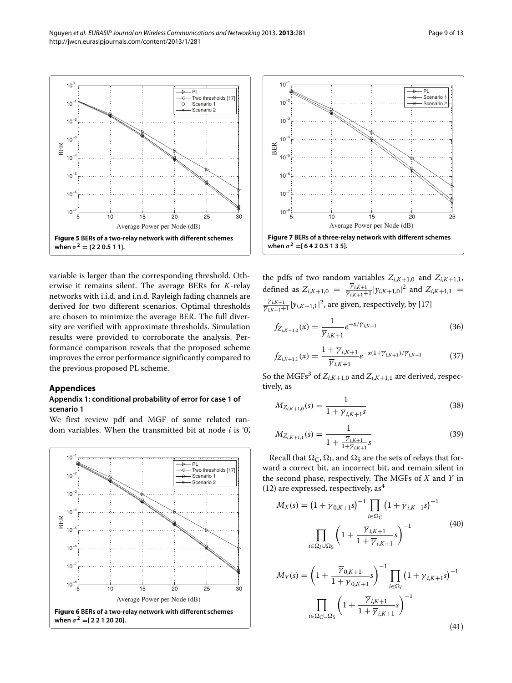

<span id="page-8-1"></span>variable is larger than the corresponding threshold. Otherwise it remains silent. The average BERs for *K*-relay networks with i.i.d. and i.n.d. Rayleigh fading channels are derived for two different scenarios. Optimal thresholds are chosen to minimize the average BER. The full diversity are verified with approximate thresholds. Simulation results were provided to corroborate the analysis. Performance comparison reveals that the proposed scheme improves the error performance significantly compared to the previous proposed PL scheme.

#### **Appendices**

# <span id="page-8-0"></span>**Appendix 1: conditional probability of error for case 1 of scenario 1**

We first review pdf and MGF of some related random variables. When the transmitted bit at node *i* is '0',

<span id="page-8-2"></span>



<span id="page-8-3"></span>the pdfs of two random variables  $Z_{i,K+1,0}$  and  $Z_{i,K+1,1}$ , defined as  $Z_{i,K+1,0} = \frac{\overline{y}_{i,K+1}}{\overline{y}_{i,K+1}+1} |y_{i,K+1,0}|^2$  and  $Z_{i,K+1,1} =$  $\frac{\overline{Y}_{i,K+1}}{\overline{Y}_{i,K+1}+1}$   $|y_{i,K+1,1}|^2$ , are given, respectively, by [\[17\]](#page-12-13)

$$
f_{Z_{i,K+1,0}}(x) = \frac{1}{\overline{\gamma}_{i,K+1}} e^{-x/\overline{\gamma}_{i,K+1}}
$$
(36)

$$
f_{Z_{i,K+1,1}}(x) = \frac{1 + \overline{\gamma}_{i,K+1}}{\overline{\gamma}_{i,K+1}} e^{-x(1 + \overline{\gamma}_{i,K+1})/\overline{\gamma}_{i,K+1}}
$$
(37)

So the MGFs<sup>3</sup> of  $Z_{i,K+1,0}$  and  $Z_{i,K+1,1}$  are derived, respectively, as

$$
M_{Z_{i,K+1,0}}(s) = \frac{1}{1 + \overline{\gamma}_{i,K+1}s}
$$
(38)

$$
M_{Z_{i,K+1,1}}(s) = \frac{1}{1 + \frac{\overline{\gamma}_{i,K+1}}{1 + \overline{\gamma}_{i,K+1}}s}
$$
(39)

Recall that  $\Omega_C$ ,  $\Omega_I$ , and  $\Omega_S$  are the sets of relays that forward a correct bit, an incorrect bit, and remain silent in the second phase, respectively. The MGFs of *X* and *Y* in [\(12\)](#page-4-4) are expressed, respectively,  $as<sup>4</sup>$ 

<span id="page-8-4"></span>
$$
M_X(s) = \left(1 + \overline{\gamma}_{0,K+1}s\right)^{-1} \prod_{i \in \Omega_C} \left(1 + \overline{\gamma}_{i,K+1}s\right)^{-1}
$$
  

$$
\prod_{i \in \Omega_I \cup \Omega_S} \left(1 + \frac{\overline{\gamma}_{i,K+1}}{1 + \overline{\gamma}_{i,K+1}}s\right)^{-1}
$$
(40)

<span id="page-8-5"></span>
$$
M_{Y}(s) = \left(1 + \frac{\overline{Y}_{0,K+1}}{1 + \overline{Y}_{0,K+1}}s\right)^{-1} \prod_{i \in \Omega_{I}} \left(1 + \overline{Y}_{i,K+1}s\right)^{-1}
$$

$$
\prod_{i \in \Omega_{C} \cup \Omega_{S}} \left(1 + \frac{\overline{Y}_{i,K+1}}{1 + \overline{Y}_{i,K+1}}s\right)^{-1}
$$
(41)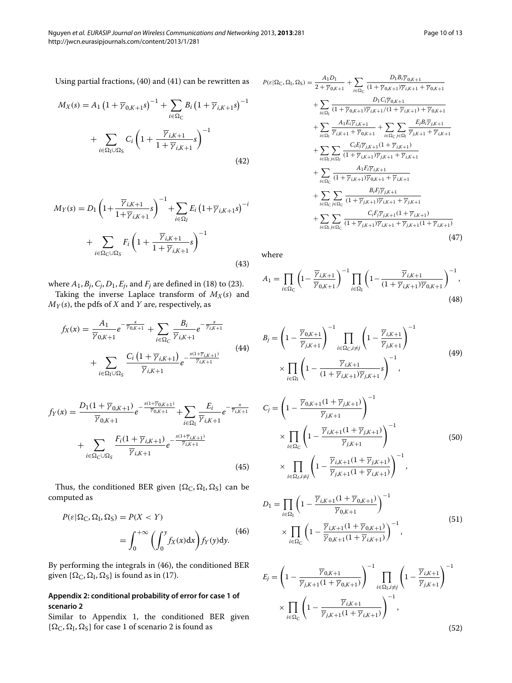Using partial fractions, [\(40\)](#page-8-4) and [\(41\)](#page-8-5) can be rewritten as

$$
M_X(s) = A_1 \left(1 + \overline{\gamma}_{0,K+1} s\right)^{-1} + \sum_{i \in \Omega_C} B_i \left(1 + \overline{\gamma}_{i,K+1} s\right)^{-1} + \sum_{i \in \Omega_1 \cup \Omega_S} C_i \left(1 + \frac{\overline{\gamma}_{i,K+1}}{1 + \overline{\gamma}_{i,K+1}} s\right)^{-1}
$$
\n(42)

$$
M_{Y}(s) = D_{1} \left( 1 + \frac{\overline{Y}_{i,K+1}}{1 + \overline{Y}_{i,K+1}} s \right)^{-1} + \sum_{i \in \Omega_{I}} E_{i} \left( 1 + \overline{Y}_{i,K+1} s \right)^{-i} + \sum_{i \in \Omega_{C} \cup \Omega_{S}} F_{i} \left( 1 + \frac{\overline{Y}_{i,K+1}}{1 + \overline{Y}_{i,K+1}} s \right)^{-1}
$$
\n(43)

where  $A_1$ ,  $B_j$ ,  $C_j$ ,  $D_1$ ,  $E_j$ , and  $F_j$  are defined in [\(18\)](#page-4-2) to [\(23\)](#page-5-1).

Taking the inverse Laplace transform of  $M_X(s)$  and  $M_Y(s)$ , the pdfs of *X* and *Y* are, respectively, as

$$
f_X(x) = \frac{A_1}{\overline{\gamma}_{0,K+1}} e^{-\frac{x}{\overline{\gamma}_{0,K+1}}} + \sum_{i \in \Omega_C} \frac{B_i}{\overline{\gamma}_{i,K+1}} e^{-\frac{x}{\overline{\gamma}_{i,K+1}}} + \sum_{i \in \Omega_1 \cup \Omega_S} \frac{C_i (1 + \overline{\gamma}_{i,K+1})}{\overline{\gamma}_{i,K+1}} e^{-\frac{x(1 + \overline{\gamma}_{i,K+1})}{\overline{\gamma}_{i,K+1}}} \tag{44}
$$

$$
f_{Y}(x) = \frac{D_{1}(1 + \overline{\gamma}_{0,K+1})}{\overline{\gamma}_{0,K+1}} e^{-\frac{x(1 + \overline{\gamma}_{0,K+1})}{\overline{\gamma}_{0,K+1}}} + \sum_{i \in \Omega_{I}} \frac{E_{i}}{\overline{\gamma}_{i,K+1}} e^{-\frac{x}{\overline{\gamma}_{i,K+1}}} + \sum_{i \in \Omega_{C} \cup \Omega_{S}} \frac{F_{i}(1 + \overline{\gamma}_{i,K+1})}{\overline{\gamma}_{i,K+1}} e^{-\frac{x(1 + \overline{\gamma}_{i,K+1})}{\overline{\gamma}_{i,K+1}}} \tag{45}
$$

Thus, the conditioned BER given  $\{\Omega_C, \Omega_I, \Omega_S\}$  can be computed as

<span id="page-9-1"></span>
$$
P(\varepsilon | \Omega_C, \Omega_I, \Omega_S) = P(X < Y)
$$
\n
$$
= \int_0^{+\infty} \left( \int_0^y f_X(x) \, dx \right) f_Y(y) \, dy. \tag{46}
$$

By performing the integrals in [\(46\)](#page-9-1), the conditioned BER given  $\{\Omega_C, \Omega_I, \Omega_S\}$  is found as in [\(17\)](#page-4-1).

# <span id="page-9-0"></span>**Appendix 2: conditional probability of error for case 1 of scenario 2**

Similar to Appendix [1,](#page-8-0) the conditioned BER given  $\{\Omega_C, \Omega_I, \Omega_S\}$  for case 1 of scenario 2 is found as

$$
P(\varepsilon|\Omega_{C},\Omega_{I},\Omega_{S}) = \frac{A_{1}D_{1}}{2+\overline{\gamma}_{0,K+1}} + \sum_{i\in\Omega_{C}} \frac{D_{1}B_{i}\overline{\gamma}_{0,K+1}}{(1+\overline{\gamma}_{0,K+1})\overline{\gamma}_{i,K+1} + \overline{\gamma}_{0,K+1}}
$$
  
+ 
$$
\sum_{i\in\Omega_{I}} \frac{D_{1}C_{i}\overline{\gamma}_{0,K+1}}{(1+\overline{\gamma}_{0,K+1})\overline{\gamma}_{i,K+1}}/(1+\overline{\gamma}_{i,K+1}) + \overline{\gamma}_{0,K+1}
$$
  
+ 
$$
\sum_{i\in\Omega_{I}} \frac{A_{1}E_{i}\overline{\gamma}_{i,K+1}}{\overline{\gamma}_{i,K+1} + \overline{\gamma}_{0,K+1}} + \sum_{i\in\Omega_{C}} \sum_{j\in\Omega_{I}} \frac{E_{j}B_{i}\overline{\gamma}_{j,K+1}}{\overline{\gamma}_{j,K+1} + \overline{\gamma}_{i,K+1}}
$$
  
+ 
$$
\sum_{i\in\Omega_{I}} \sum_{j\in\Omega_{I}} \frac{C_{i}E_{j}\overline{\gamma}_{j,K+1}}{(1+\overline{\gamma}_{i,K+1})\overline{\gamma}_{j,K+1} + \overline{\gamma}_{i,K+1}}
$$
  
+ 
$$
\sum_{i\in\Omega_{C}} \frac{A_{1}E_{i}\overline{\gamma}_{i,K+1}}{(1+\overline{\gamma}_{i,K+1})\overline{\gamma}_{0,K+1} + \overline{\gamma}_{i,K+1}}
$$
  
+ 
$$
\sum_{i\in\Omega_{C}} \sum_{j\in\Omega_{C}} \frac{B_{i}E_{j}\overline{\gamma}_{j,K+1}}{(1+\overline{\gamma}_{j,K+1})\overline{\gamma}_{i,K+1} + \overline{\gamma}_{j,K+1}}
$$
  
+ 
$$
\sum_{i\in\Omega_{I}} \sum_{j\in\Omega_{C}} \frac{C_{i}\overline{F_{j}\overline{\gamma}_{j,K+1}}(1+\overline{\gamma}_{i,K+1})}{(1+\overline{\gamma}_{j,K+1})\overline{\gamma}_{i,K+1} + \overline{\gamma}_{j,K+1}} (1+\overline{\gamma}_{i,K+1})}
$$
(47)

where

$$
A_{1} = \prod_{i \in \Omega_{C}} \left( 1 - \frac{\overline{\gamma}_{i,K+1}}{\overline{\gamma}_{0,K+1}} \right)^{-1} \prod_{i \in \Omega_{I}} \left( 1 - \frac{\overline{\gamma}_{i,K+1}}{(1 + \overline{\gamma}_{i,K+1}) \overline{\gamma}_{0,K+1}} \right)^{-1},
$$
\n(48)

$$
B_j = \left(1 - \frac{\overline{Y}_{0,K+1}}{\overline{Y}_{j,K+1}}\right)^{-1} \prod_{i \in \Omega_C, i \neq j} \left(1 - \frac{\overline{Y}_{i,K+1}}{\overline{Y}_{j,K+1}}\right)^{-1}
$$
  
 
$$
\times \prod_{i \in \Omega_I} \left(1 - \frac{\overline{Y}_{i,K+1}}{(1 + \overline{Y}_{i,K+1})\overline{Y}_{j,K+1}}s\right)^{-1}, \tag{49}
$$

$$
C_{j} = \left(1 - \frac{\overline{Y}_{0,K+1}(1 + \overline{Y}_{j,K+1})}{\overline{Y}_{j,K+1}}\right)^{-1}
$$
  
 
$$
\times \prod_{i \in \Omega_{C}} \left(1 - \frac{\overline{Y}_{i,K+1}(1 + \overline{Y}_{j,K+1})}{\overline{Y}_{j,K+1}}\right)^{-1}
$$
  
 
$$
\times \prod_{i \in \Omega_{I}, i \neq j} \left(1 - \frac{\overline{Y}_{i,K+1}(1 + \overline{Y}_{j,K+1})}{\overline{Y}_{j,K+1}(1 + \overline{Y}_{i,K+1})}\right)^{-1},
$$
 (50)

$$
D_1 = \prod_{i \in \Omega_1} \left( 1 - \frac{\overline{\gamma}_{i,K+1} (1 + \overline{\gamma}_{0,K+1})}{\overline{\gamma}_{0,K+1}} \right)^{-1}
$$
  
 
$$
\times \prod_{i \in \Omega_C} \left( 1 - \frac{\overline{\gamma}_{i,K+1} (1 + \overline{\gamma}_{0,K+1})}{\overline{\gamma}_{0,K+1} (1 + \overline{\gamma}_{i,K+1})} \right)^{-1},
$$
 (51)

$$
E_{j} = \left(1 - \frac{\overline{\gamma}_{0,K+1}}{\overline{\gamma}_{j,K+1}(1 + \overline{\gamma}_{0,K+1})}\right)^{-1} \prod_{i \in \Omega_{1}, i \neq j} \left(1 - \frac{\overline{\gamma}_{i,K+1}}{\overline{\gamma}_{j,K+1}}\right)^{-1} \times \prod_{i \in \Omega_{C}} \left(1 - \frac{\overline{\gamma}_{i,K+1}}{\overline{\gamma}_{j,K+1}(1 + \overline{\gamma}_{i,K+1})}\right)^{-1},
$$
\n(52)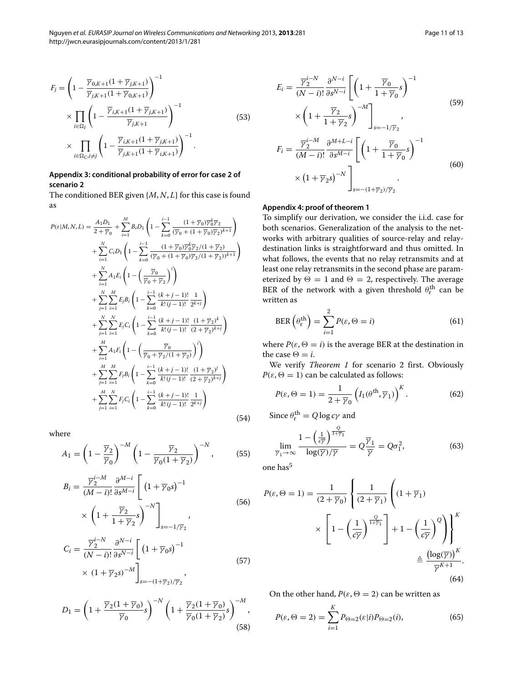$$
F_{j} = \left(1 - \frac{\overline{Y}_{0,K+1}(1 + \overline{\gamma}_{j,K+1})}{\overline{Y}_{j,K+1}(1 + \overline{Y}_{0,K+1})}\right)^{-1}
$$
  
 
$$
\times \prod_{i \in \Omega_{I}} \left(1 - \frac{\overline{Y}_{i,K+1}(1 + \overline{Y}_{j,K+1})}{\overline{Y}_{j,K+1}}\right)^{-1}
$$
  
 
$$
\times \prod_{i \in \Omega_{C}, i \neq j} \left(1 - \frac{\overline{Y}_{i,K+1}(1 + \overline{Y}_{j,K+1})}{\overline{Y}_{j,K+1}(1 + \overline{Y}_{i,K+1})}\right)^{-1}.
$$
 (53)

# <span id="page-10-0"></span>**Appendix 3: conditional probability of error for case 2 of scenario 2**

The conditioned BER given {*M*, *N*, *L*} for this case is found as

$$
P(\varepsilon|M,N,L) = \frac{A_1D_1}{2+\overline{\gamma}_0} + \sum_{i=1}^{M} B_i D_1 \left( 1 - \sum_{k=0}^{i-1} \frac{(1+\overline{\gamma}_0)\overline{\gamma}_0^k \overline{\gamma}_2}{(\overline{\gamma}_0 + (1+\overline{\gamma}_0)\overline{\gamma}_2)^{k+1}} \right) + \sum_{i=1}^{N} C_i D_1 \left( 1 - \sum_{k=0}^{i-1} \frac{(1+\overline{\gamma}_0)\overline{\gamma}_0^k \overline{\gamma}_2/(1+\overline{\gamma}_2)}{(\overline{\gamma}_0 + (1+\overline{\gamma}_0)\overline{\gamma}_2/(1+\overline{\gamma}_2))^{k+1}} \right) + \sum_{i=1}^{N} A_1 E_i \left( 1 - \left( \frac{\overline{\gamma}_0}{\overline{\gamma}_0 + \overline{\gamma}_2} \right)^i \right) + \sum_{j=1}^{N} \sum_{i=1}^{M} E_j B_i \left( 1 - \sum_{k=0}^{i-1} \frac{(k+j-1)!}{k!(j-1)!} \frac{1}{2^{k+j}} \right) + \sum_{j=1}^{N} \sum_{i=1}^{N} E_j C_i \left( 1 - \sum_{k=0}^{i-1} \frac{(k+j-1)!}{k!(j-1)!} \frac{(1+\overline{\gamma}_2)^k}{(2+\overline{\gamma}_2)^{k+j}} \right) + \sum_{i=1}^{M} A_1 F_i \left( 1 - \left( \frac{\overline{\gamma}_0}{\overline{\gamma}_0 + \overline{\gamma}_2/(1+\overline{\gamma}_2)} \right)^i \right) + \sum_{j=1}^{M} \sum_{i=1}^{M} F_j B_i \left( 1 - \sum_{k=0}^{i-1} \frac{(k+j-1)!}{k!(j-1)!} \frac{(1+\overline{\gamma}_2)^j}{(2+\overline{\gamma}_2)^{k+j}} \right) + \sum_{j=1}^{M} \sum_{i=1}^{N} F_j C_i \left( 1 - \sum_{k=0}^{i-1} \frac{(k+j-1)!}{k!(j-1)!} \frac{1}{2^{k+j}} \right)
$$
(54)

where

$$
A_1 = \left(1 - \frac{\overline{y}_2}{\overline{y}_0}\right)^{-M} \left(1 - \frac{\overline{y}_2}{\overline{y}_0(1 + \overline{y}_2)}\right)^{-N},\tag{55}
$$

$$
B_{i} = \frac{\overline{\gamma}_{2}^{i-M}}{(M-i)!} \frac{\partial^{M-i}}{\partial s^{M-i}} \left[ \left( 1 + \overline{\gamma}_{0} s \right)^{-1} \times \left( 1 + \frac{\overline{\gamma}_{2}}{1 + \overline{\gamma}_{2}} s \right)^{-N} \right]_{s=-1/\overline{\gamma}_{2}},
$$
\n(56)

$$
C_i = \frac{\overline{\gamma}_2^{i-N}}{(N-i)!} \frac{\partial^{N-i}}{\partial s^{N-i}} \left[ \left( 1 + \overline{\gamma}_0 s \right)^{-1} \times \left( 1 + \overline{\gamma}_2 s \right)^{-M} \right]_{s = -(1 + \overline{\gamma}_2)/\overline{\gamma}_2},
$$
\n
$$
(57)
$$

$$
D_1 = \left(1 + \frac{\overline{\gamma}_2(1+\overline{\gamma}_0)}{\overline{\gamma}_0}s\right)^{-N} \left(1 + \frac{\overline{\gamma}_2(1+\overline{\gamma}_0)}{\overline{\gamma}_0(1+\overline{\gamma}_2)}s\right)^{-M},\tag{58}
$$

$$
E_{i} = \frac{\overline{\gamma}_{2}^{i-N}}{(N-i)!} \frac{\partial^{N-i}}{\partial s^{N-i}} \left[ \left( 1 + \frac{\overline{\gamma}_{0}}{1 + \overline{\gamma}_{0}} s \right)^{-1} \times \left( 1 + \frac{\overline{\gamma}_{2}}{1 + \overline{\gamma}_{2}} s \right)^{-M} \right]_{s=-1/\overline{\gamma}_{2}},
$$
  
\n
$$
F_{i} = \frac{\overline{\gamma}_{2}^{i-M}}{(M-i)!} \frac{\partial^{M+L-i}}{\partial s^{M-i}} \left[ \left( 1 + \frac{\overline{\gamma}_{0}}{1 + \overline{\gamma}_{0}} s \right)^{-1} \times \left( 1 + \overline{\gamma}_{2} s \right)^{-N} \right]
$$
(60)  
\n
$$
\times \left( 1 + \overline{\gamma}_{2} s \right)^{-N}
$$

*s*=−*(*1+*γ* <sup>2</sup>*)/γ* <sup>2</sup>

.

# <span id="page-10-1"></span>**Appendix 4: proof of theorem 1**

To simplify our derivation, we consider the i.i.d. case for both scenarios. Generalization of the analysis to the networks with arbitrary qualities of source-relay and relaydestination links is straightforward and thus omitted. In what follows, the events that no relay retransmits and at least one relay retransmits in the second phase are parameterized by  $\Theta = 1$  and  $\Theta = 2$ , respectively. The average BER of the network with a given threshold  $\theta_{\rm r}^{\rm th}$  can be written as

$$
BER\left(\theta_r^{\text{th}}\right) = \sum_{i=1}^{2} P(\varepsilon, \Theta = i)
$$
\n(61)

where  $P(\varepsilon, \Theta = i)$  is the average BER at the destination in the case  $\Theta = i$ .

We verify *Theorem 1* for scenario 2 first. Obviously  $P(\varepsilon, \Theta = 1)$  can be calculated as follows:

$$
P(\varepsilon, \Theta = 1) = \frac{1}{2 + \overline{\gamma}_0} \left( I_1(\theta^{\text{th}}, \overline{\gamma}_1) \right)^K.
$$
 (62)

Since  $\theta_{\rm r}^{\rm th} = Q \log c \gamma$  and

$$
\lim_{\overline{\gamma}_1 \to \infty} \frac{1 - \left(\frac{1}{c\overline{\gamma}}\right)^{\frac{Q}{1+\overline{\gamma}_1}}}{\log(\overline{\gamma})/\overline{\gamma}} = Q\frac{\overline{\gamma}_1}{\overline{\gamma}} = Q\sigma_1^2,\tag{63}
$$

one has<sup>5</sup>

$$
P(\varepsilon, \Theta = 1) = \frac{1}{(2 + \overline{\gamma}_0)} \left\{ \frac{1}{(2 + \overline{\gamma}_1)} \left( (1 + \overline{\gamma}_1) \times \left[ 1 - \left( \frac{1}{c\overline{\gamma}} \right)^{\frac{Q}{1 + \overline{\gamma}_1}} \right] + 1 - \left( \frac{1}{c\overline{\gamma}} \right)^Q \right) \right\}^K
$$

$$
\approx \left[ 1 - \left( \frac{1}{c\overline{\gamma}} \right)^{\frac{Q}{1 + \overline{\gamma}_1}} \right] + 1 - \left( \frac{1}{c\overline{\gamma}} \right)^Q \right\}^K
$$

$$
\triangleq \frac{\left( \log(\overline{\gamma}) \right)^K}{\overline{\gamma}^{K+1}}.
$$
(64)

On the other hand,  $P(\varepsilon, \Theta = 2)$  can be written as

$$
P(\varepsilon, \Theta = 2) = \sum_{i=1}^{K} P_{\Theta = 2}(\varepsilon | i) P_{\Theta = 2}(i),
$$
\n(65)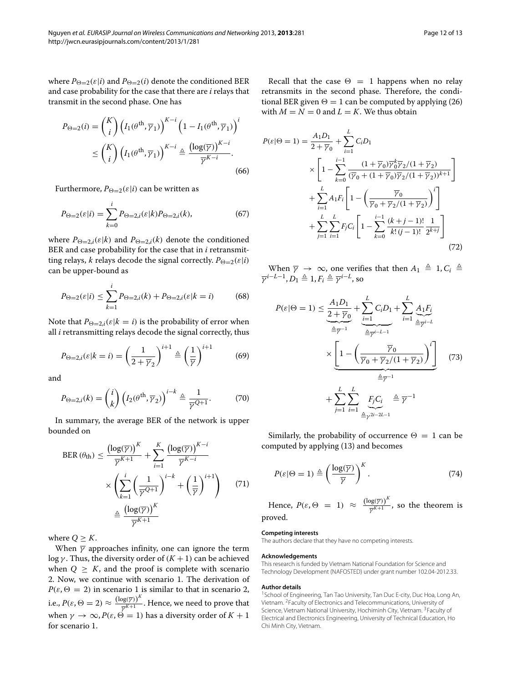where  $P_{\Theta=2}(\varepsilon|i)$  and  $P_{\Theta=2}(i)$  denote the conditioned BER and case probability for the case that there are *i* relays that transmit in the second phase. One has

$$
P_{\Theta=2}(i) = {K \choose i} \left( I_1(\theta^{\text{th}}, \overline{\gamma}_1) \right)^{K-i} \left( 1 - I_1(\theta^{\text{th}}, \overline{\gamma}_1) \right)^i
$$
  

$$
\leq {K \choose i} \left( I_1(\theta^{\text{th}}, \overline{\gamma}_1) \right)^{K-i} \triangleq \frac{\left( \log(\overline{\gamma}) \right)^{K-i}}{\overline{\gamma}^{K-i}}.
$$
 (66)

Furthermore,  $P_{\Theta=2}(\varepsilon|i)$  can be written as

$$
P_{\Theta=2}(\varepsilon|i) = \sum_{k=0}^{i} P_{\Theta=2,i}(\varepsilon|k) P_{\Theta=2,i}(k),\tag{67}
$$

where  $P_{\Theta=2,i}(\varepsilon|k)$  and  $P_{\Theta=2,i}(k)$  denote the conditioned BER and case probability for the case that in *i* retransmitting relays, *k* relays decode the signal correctly.  $P_{\Theta=2}(\varepsilon|i)$ can be upper-bound as

$$
P_{\Theta=2}(\varepsilon|i) \le \sum_{k=1}^{i} P_{\Theta=2,i}(k) + P_{\Theta=2,i}(\varepsilon|k=i) \tag{68}
$$

Note that  $P_{\Theta=2,i}(\varepsilon|k=i)$  is the probability of error when all *i* retransmitting relays decode the signal correctly, thus

$$
P_{\Theta=2,i}(\varepsilon|k=i) = \left(\frac{1}{2+\overline{\gamma}_2}\right)^{i+1} \triangleq \left(\frac{1}{\overline{\gamma}}\right)^{i+1} \tag{69}
$$

and

$$
P_{\Theta=2,i}(k) = \binom{i}{k} \left( I_2(\theta^{\text{th}}, \overline{\gamma}_2) \right)^{i-k} \triangleq \frac{1}{\overline{\gamma}^{Q+1}}.
$$
 (70)

In summary, the average BER of the network is upper bounded on

$$
BER (\theta_{th}) \leq \frac{\left(\log(\overline{\gamma})\right)^K}{\overline{\gamma}^{K+1}} + \sum_{i=1}^K \frac{\left(\log(\overline{\gamma})\right)^{K-i}}{\overline{\gamma}^{K-i}} \times \left(\sum_{k=1}^i \left(\frac{1}{\overline{\gamma}^{Q+1}}\right)^{i-k} + \left(\frac{1}{\overline{\gamma}}\right)^{i+1}\right) \qquad (71)
$$

$$
\triangleq \frac{\left(\log(\overline{\gamma})\right)^K}{\overline{\gamma}^{K+1}}
$$

where  $Q \geq K$ .

When  $\bar{\gamma}$  approaches infinity, one can ignore the term log  $\gamma$ . Thus, the diversity order of  $(K + 1)$  can be achieved when  $Q > K$ , and the proof is complete with scenario 2. Now, we continue with scenario 1. The derivation of  $P(\varepsilon, \Theta = 2)$  in scenario 1 is similar to that in scenario 2, i.e.,  $P(\varepsilon,\Theta=2)\approx \frac{(\log(\overline{\gamma}))^{K}}{\overline{\gamma}^{K+1}}.$  Hence, we need to prove that when  $\gamma \to \infty$ ,  $P(\varepsilon, \vec{\Theta} = 1)$  has a diversity order of  $K + 1$ for scenario 1.

Recall that the case  $\Theta = 1$  happens when no relay retransmits in the second phase. Therefore, the conditional BER given  $\Theta = 1$  can be computed by applying [\(26\)](#page-5-4) with  $M = N = 0$  and  $L = K$ . We thus obtain

$$
P(\varepsilon | \Theta = 1) = \frac{A_1 D_1}{2 + \overline{\gamma}_0} + \sum_{i=1}^{L} C_i D_1
$$
  
 
$$
\times \left[ 1 - \sum_{k=0}^{i-1} \frac{(1 + \overline{\gamma}_0) \overline{\gamma}_0^k \overline{\gamma}_2 / (1 + \overline{\gamma}_2)}{(\overline{\gamma}_0 + (1 + \overline{\gamma}_0) \overline{\gamma}_2 / (1 + \overline{\gamma}_2))^{k+1}} \right]
$$
  
 
$$
+ \sum_{i=1}^{L} A_1 F_i \left[ 1 - \left( \frac{\overline{\gamma}_0}{\overline{\gamma}_0 + \overline{\gamma}_2 / (1 + \overline{\gamma}_2)} \right)^i \right]
$$
  
 
$$
+ \sum_{j=1}^{L} \sum_{i=1}^{L} F_j C_i \left[ 1 - \sum_{k=0}^{i-1} \frac{(k+j-1)!}{k! (j-1)!} \frac{1}{2^{k+j}} \right]
$$
(72)

When  $\overline{\gamma} \rightarrow \infty$ , one verifies that then  $A_1 \triangleq 1, C_i \triangleq$  $\overline{\gamma}^{i-L-1}, D_1 \triangleq 1, F_i \triangleq \overline{\gamma}^{i-L}, \text{so}$ 

$$
P(\varepsilon | \Theta = 1) \leq \underbrace{\frac{A_1 D_1}{2 + \overline{\gamma}_0}}_{\triangleq \overline{\gamma}^{-1}} + \underbrace{\sum_{i=1}^{L} C_i D_1}_{\triangleq \overline{\gamma}^{i-L-1}} + \sum_{i=1}^{L} \underbrace{A_1 F_i}_{\triangleq \overline{\gamma}^{i-L}} + \underbrace{\sum_{i=1}^{L} \left(1 - \left(\frac{\overline{\gamma}_0}{\overline{\gamma}_0 + \overline{\gamma}_2 / (1 + \overline{\gamma}_2)}\right)^i\right]}_{\triangleq \overline{\gamma}^{-1}} \quad (73)
$$
\n
$$
+ \sum_{j=1}^{L} \sum_{i=1}^{L} \underbrace{F_j C_i}_{\triangleq \gamma^{2i-2L-1}} \triangleq \overline{\gamma}^{-1}
$$

Similarly, the probability of occurrence  $\Theta = 1$  can be computed by applying [\(13\)](#page-4-3) and becomes

$$
P(\varepsilon | \Theta = 1) \triangleq \left(\frac{\log(\overline{\gamma})}{\overline{\gamma}}\right)^K.
$$
 (74)

Hence,  $P(\varepsilon, \Theta = 1) \approx \frac{(\log(\overline{\gamma}))^{K}}{\overline{\gamma}^{K+1}}$ , so the theorem is proved.

#### **Competing interests**

The authors declare that they have no competing interests.

#### **Acknowledgements**

This research is funded by Vietnam National Foundation for Science and Technology Development (NAFOSTED) under grant number 102.04-2012.33.

#### **Author details**

<sup>1</sup> School of Engineering, Tan Tao University, Tan Duc E-city, Duc Hoa, Long An, Vietnam. 2Faculty of Electronics and Telecommunications, University of Science, Vietnam National University, Hochiminh City, Vietnam. 3Faculty of Electrical and Electronics Engineering, University of Technical Education, Ho Chi Minh City, Vietnam.